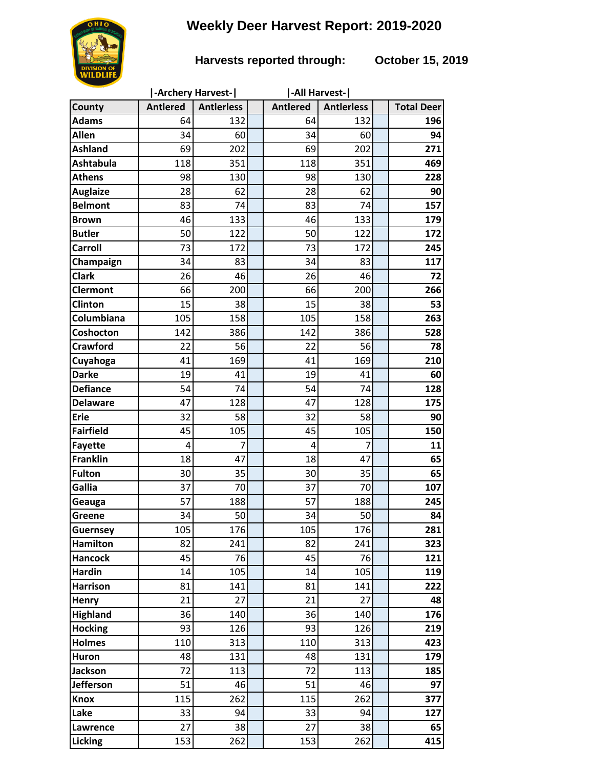## **Weekly Deer Harvest Report: 2019-2020**



## **Harvests reported through: October 15, 2019**

|                  | -Archery Harvest- |                   |  | -All Harvest-   |                   |  |                   |
|------------------|-------------------|-------------------|--|-----------------|-------------------|--|-------------------|
| County           | <b>Antlered</b>   | <b>Antierless</b> |  | <b>Antlered</b> | <b>Antierless</b> |  | <b>Total Deer</b> |
| <b>Adams</b>     | 64                | 132               |  | 64              | 132               |  | 196               |
| <b>Allen</b>     | 34                | 60                |  | 34              | 60                |  | 94                |
| <b>Ashland</b>   | 69                | 202               |  | 69              | 202               |  | 271               |
| <b>Ashtabula</b> | 118               | 351               |  | 118             | 351               |  | 469               |
| <b>Athens</b>    | 98                | 130               |  | 98              | 130               |  | 228               |
| <b>Auglaize</b>  | 28                | 62                |  | 28              | 62                |  | 90                |
| <b>Belmont</b>   | 83                | 74                |  | 83              | 74                |  | 157               |
| <b>Brown</b>     | 46                | 133               |  | 46              | 133               |  | 179               |
| <b>Butler</b>    | 50                | 122               |  | 50              | 122               |  | 172               |
| <b>Carroll</b>   | 73                | 172               |  | 73              | 172               |  | 245               |
| Champaign        | 34                | 83                |  | 34              | 83                |  | 117               |
| <b>Clark</b>     | 26                | 46                |  | 26              | 46                |  | 72                |
| <b>Clermont</b>  | 66                | 200               |  | 66              | 200               |  | 266               |
| Clinton          | 15                | 38                |  | 15              | 38                |  | 53                |
| Columbiana       | 105               | 158               |  | 105             | 158               |  | 263               |
| Coshocton        | 142               | 386               |  | 142             | 386               |  | 528               |
| <b>Crawford</b>  | 22                | 56                |  | 22              | 56                |  | 78                |
| Cuyahoga         | 41                | 169               |  | 41              | 169               |  | 210               |
| <b>Darke</b>     | 19                | 41                |  | 19              | 41                |  | 60                |
| <b>Defiance</b>  | 54                | 74                |  | 54              | 74                |  | 128               |
| <b>Delaware</b>  | 47                | 128               |  | 47              | 128               |  | 175               |
| <b>Erie</b>      | 32                | 58                |  | 32              | 58                |  | 90                |
| <b>Fairfield</b> | 45                | 105               |  | 45              | 105               |  | 150               |
| <b>Fayette</b>   | 4                 | 7                 |  | 4               | 7                 |  | 11                |
| <b>Franklin</b>  | 18                | 47                |  | 18              | 47                |  | 65                |
| <b>Fulton</b>    | 30                | 35                |  | 30              | 35                |  | 65                |
| Gallia           | 37                | 70                |  | 37              | 70                |  | 107               |
| Geauga           | 57                | 188               |  | 57              | 188               |  | 245               |
| Greene           | 34                | 50                |  | 34              | 50                |  | 84                |
| <b>Guernsey</b>  | 105               | 176               |  | 105             | 176               |  | 281               |
| <b>Hamilton</b>  | 82                | 241               |  | 82              | 241               |  | 323               |
| <b>Hancock</b>   | 45                | 76                |  | 45              | 76                |  | 121               |
| <b>Hardin</b>    | 14                | 105               |  | 14              | 105               |  | 119               |
| <b>Harrison</b>  | 81                | 141               |  | 81              | 141               |  | 222               |
| <b>Henry</b>     | 21                | 27                |  | 21              | 27                |  | 48                |
| <b>Highland</b>  | 36                | 140               |  | 36              | 140               |  | 176               |
| <b>Hocking</b>   | 93                | 126               |  | 93              | 126               |  | 219               |
| <b>Holmes</b>    | 110               | 313               |  | 110             | 313               |  | 423               |
| <b>Huron</b>     | 48                | 131               |  | 48              | 131               |  | 179               |
| <b>Jackson</b>   | 72                | 113               |  | 72              | 113               |  | 185               |
| <b>Jefferson</b> | 51                | 46                |  | 51              | 46                |  | 97                |
| <b>Knox</b>      | 115               | 262               |  | 115             | 262               |  | 377               |
| Lake             | 33                | 94                |  | 33              | 94                |  | 127               |
| Lawrence         | 27                | 38                |  | 27              | 38                |  | 65                |
| Licking          | 153               | 262               |  | 153             | 262               |  | 415               |